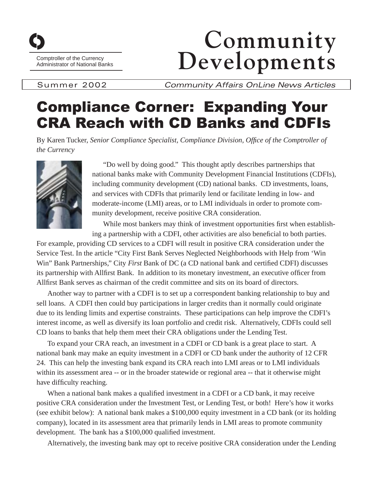

Comptroller of the Currency<br>Administrator of National Banks

## **Community** Developments

Summer 2002 *Community Affairs OnLine News Articles* 

## Compliance Corner: Expanding Your CRA Reach with CD Banks and CDFIs

By Karen Tucker, Senior Compliance Specialist, Compliance Division, Office of the Comptroller of *the Currency* 



"Do well by doing good." This thought aptly describes partnerships that national banks make with Community Development Financial Institutions (CDFIs), including community development (CD) national banks. CD investments, loans, and services with CDFIs that primarily lend or facilitate lending in low- and moderate-income (LMI) areas, or to LMI individuals in order to promote community development, receive positive CRA consideration.

While most bankers may think of investment opportunities first when establishing a partnership with a CDFI, other activities are also beneficial to both parties.

For example, providing CD services to a CDFI will result in positive CRA consideration under the Service Test. In the article "City First Bank Serves Neglected Neighborhoods with Help from 'Win Win" Bank Partnerships," City *First* Bank of DC (a CD national bank and certified CDFI) discusses its partnership with Allfirst Bank. In addition to its monetary investment, an executive officer from Allfirst Bank serves as chairman of the credit committee and sits on its board of directors.

Another way to partner with a CDFI is to set up a correspondent banking relationship to buy and sell loans. A CDFI then could buy participations in larger credits than it normally could originate due to its lending limits and expertise constraints. These participations can help improve the CDFI's interest income, as well as diversify its loan portfolio and credit risk. Alternatively, CDFIs could sell CD loans to banks that help them meet their CRA obligations under the Lending Test.

To expand your CRA reach, an investment in a CDFI or CD bank is a great place to start. A national bank may make an equity investment in a CDFI or CD bank under the authority of 12 CFR 24. This can help the investing bank expand its CRA reach into LMI areas or to LMI individuals within its assessment area -- or in the broader statewide or regional area -- that it otherwise might have difficulty reaching.

When a national bank makes a qualified investment in a CDFI or a CD bank, it may receive positive CRA consideration under the Investment Test, or Lending Test, or both! Here's how it works (see exhibit below): A national bank makes a \$100,000 equity investment in a CD bank (or its holding company), located in its assessment area that primarily lends in LMI areas to promote community development. The bank has a \$100,000 qualified investment.

Alternatively, the investing bank may opt to receive positive CRA consideration under the Lending